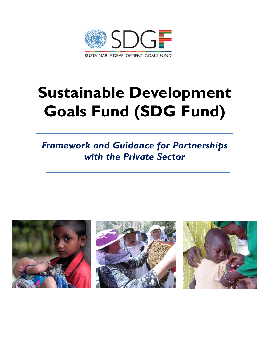

# **Sustainable Development Goals Fund (SDG Fund)**

# *Framework and Guidance for Partnerships with the Private Sector*

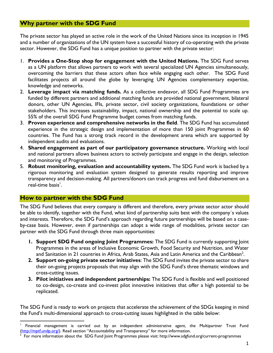# **Why partner with the SDG Fund**

The private sector has played an active role in the work of the United Nations since its inception in 1945 and a number of organizations of the UN system have a successful history of co-operating with the private sector. However, the SDG Fund has a unique position to partner with the private sector:

- 1. **Provides a One-Stop shop for engagement with the United Nations.** The SDG Fund serves as a UN platform that allows partners to work with several specialized UN Agencies simultaneously, overcoming the barriers that these actors often face while engaging each other. The SDG Fund facilitates projects all around the globe by leveraging UN Agencies complementary expertise, knowledge and networks.
- 2. **Leverage impact via matching funds.** As a collective endeavor, all SDG Fund Programmes are funded by different partners and additional matching funds are provided national government, bilateral donors, other UN Agencies, IFIs, private sector, civil society organizations, foundations or other stakeholders. This increases sustainability, impact, national ownership and the potential to scale up. 55% of the overall SDG Fund Programme budget comes from matching funds.
- 3. **Proven experience and comprehensive networks in the field**. The SDG Fund has accumulated experience in the strategic design and implementation of more than 150 joint Programmes in 60 countries. The Fund has a strong track record in the development arena which are supported by independent audits and evaluations.
- 4. **Shared engagement as part of our participatory governance structure.** Working with local and national partners allows business actors to actively participate and engage in the design, selection and monitoring of Programmes.
- 5. **Robust monitoring, evaluation and accountability system.** The SDG Fund work is backed by a rigorous monitoring and evaluation system designed to generate results reporting and improve transparency and decision-making. All partners/donors can track progress and fund disbursement on a real-time basis<sup>'</sup>.

#### **How to partner with the SDG Fund**

The SDG Fund believes that every company is different and therefore, every private sector actor should be able to identify, together with the Fund, what kind of partnership suits best with the company´s values and interests. Therefore, the SDG Fund's approach regarding future partnerships will be based on a caseby-case basis. However, even if partnerships can adopt a wide range of modalities, private sector can partner with the SDG Fund through three main opportunities:

- **1. Support SDG Fund ongoing Joint Programmes:** The SDG Fund is currently supporting Joint Programmes in the areas of Inclusive Economic Growth, Food Security and Nutrition, and Water and Sanitation in 21 countries in Africa, Arab States, Asia and Latin America and the Caribbean<sup>2</sup>.
- **2. Support on-going private sector initiatives**: The SDG Fund invites the private sector to share their on-going projects proposals that may align with the SDG Fund's three thematic windows and cross-cutting issues.
- **3. Pilot initiatives and independent partnerships:** The SDG Fund is flexible and well positioned to co-design, co-create and co-invest pilot innovative initiatives that offer a high potential to be replicated.

The SDG Fund is ready to work on projects that accelerate the achievement of the SDGs keeping in mind the Fund's multi-dimensional approach to cross-cutting issues highlighted in the table below:

 $\overline{a}$ 1 Financial management is carried out by an independent administrative agent, the Multipartner Trust Fund [\(http://mptf.undp.org/\)](http://mptf.undp.org/). Read section "Accountability and Transparency" for more information.

<sup>2</sup> For more information about the SDG Fund Joint Programmes please visit: http://www.sdgfund.org/current-programmes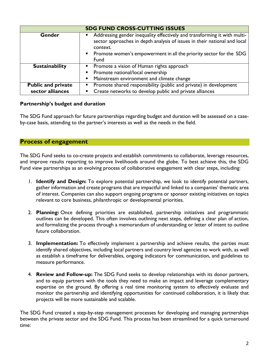| <b>SDG FUND CROSS-CUTTING ISSUES</b> |                                                                                                                                                                                                                                           |
|--------------------------------------|-------------------------------------------------------------------------------------------------------------------------------------------------------------------------------------------------------------------------------------------|
| Gender                               | Addressing gender inequality effectively and transforming it with multi-<br>sector approaches in depth analysis of issues in their national and local<br>context.<br>• Promote women's empowerment in all the priority sector for the SDG |
|                                      | Fund                                                                                                                                                                                                                                      |
| <b>Sustainability</b>                | • Promote a vision of Human rights approach                                                                                                                                                                                               |
|                                      | • Promote national/local ownership                                                                                                                                                                                                        |
|                                      | Mainstream environment and climate change<br>$\blacksquare$                                                                                                                                                                               |
| <b>Public and private</b>            | • Promote shared responsibility (public and private) in development                                                                                                                                                                       |
| sector alliances                     | Create networks to develop public and private alliances<br>٠                                                                                                                                                                              |

### **Partnership's budget and duration**

The SDG Fund approach for future partnerships regarding budget and duration will be assessed on a caseby-case basis, attending to the partner's interests as well as the needs in the field.

# **Process of engagement**

The SDG Fund seeks to co-create projects and establish commitments to collaborate, leverage resources, and improve results reporting to improve livelihoods around the globe. To best achieve this, the SDG Fund view partnerships as an evolving process of collaborative engagement with clear steps, including:

- 1. **Identify and Design:** To explore potential partnership, we look to identify potential partners, gather information and create programs that are impactful and linked to a companies' thematic area of interest. Companies can also support ongoing programs or sponsor existing initiatives on topics relevant to core business, philanthropic or developmental priorities.
- 2. **Planning:** Once defining priorities are established, partnership initiatives and programmatic outlines can be developed. This often involves outlining next steps, defining a clear plan of action, and formalizing the process through a memorandum of understanding or letter of intent to outline future collaboration.
- 3. **Implementation:** To effectively implement a partnership and achieve results, the parties must identify shared objectives, including local partners and country level agencies to work with, as well as establish a timeframe for deliverables, ongoing indicators for communication, and guidelines to measure performance.
- 4. **Review and Follow-up:** The SDG Fund seeks to develop relationships with its donor partners, and to equip partners with the tools they need to make an impact and leverage complementary expertise on the ground. By offering a real time monitoring system to effectively evaluate and monitor the partnership and identifying opportunities for continued collaboration, it is likely that projects will be more sustainable and scalable.

The SDG Fund created a step-by-step management processes for developing and managing partnerships between the private sector and the SDG Fund. This process has been streamlined for a quick turnaround time: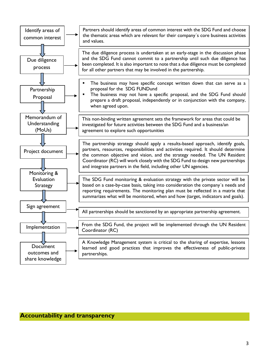

#### **Accountability and transparency**